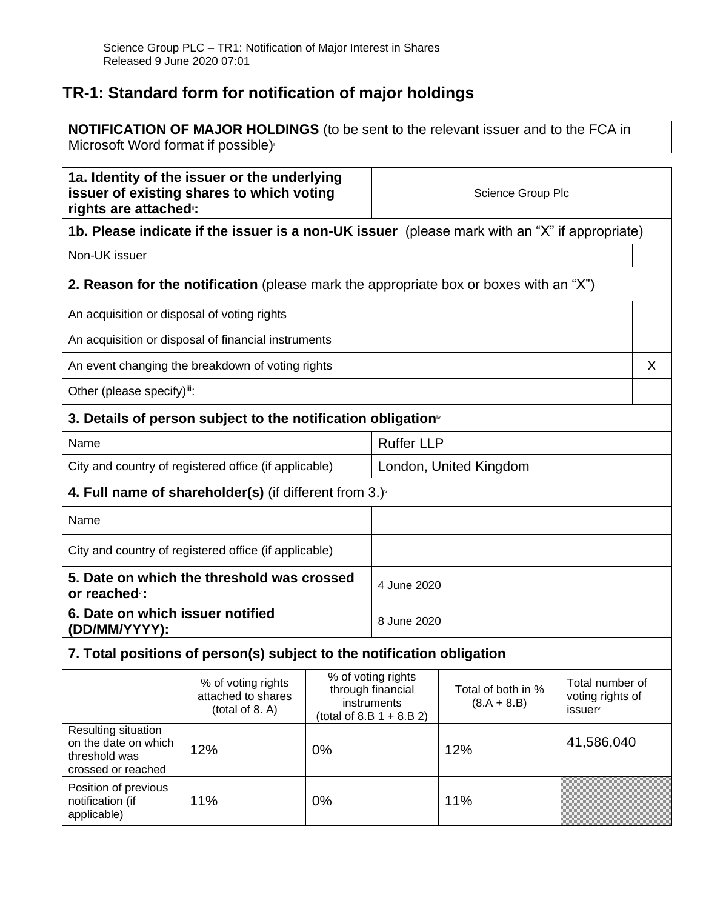## **TR-1: Standard form for notification of major holdings**

applicable)

**NOTIFICATION OF MAJOR HOLDINGS** (to be sent to the relevant issuer and to the FCA in Microsoft Word format if possible)

| 1a. Identity of the issuer or the underlying<br>issuer of existing shares to which voting<br>rights are attached <sup>®</sup> : |                                                                                              |                                                                                       | Science Group Plc      |                                     |                                                                     |  |
|---------------------------------------------------------------------------------------------------------------------------------|----------------------------------------------------------------------------------------------|---------------------------------------------------------------------------------------|------------------------|-------------------------------------|---------------------------------------------------------------------|--|
| 1b. Please indicate if the issuer is a non-UK issuer (please mark with an "X" if appropriate)                                   |                                                                                              |                                                                                       |                        |                                     |                                                                     |  |
| Non-UK issuer                                                                                                                   |                                                                                              |                                                                                       |                        |                                     |                                                                     |  |
|                                                                                                                                 | <b>2. Reason for the notification</b> (please mark the appropriate box or boxes with an "X") |                                                                                       |                        |                                     |                                                                     |  |
| An acquisition or disposal of voting rights                                                                                     |                                                                                              |                                                                                       |                        |                                     |                                                                     |  |
|                                                                                                                                 | An acquisition or disposal of financial instruments                                          |                                                                                       |                        |                                     |                                                                     |  |
|                                                                                                                                 | An event changing the breakdown of voting rights                                             |                                                                                       |                        |                                     | X                                                                   |  |
| Other (please specify)iii:                                                                                                      |                                                                                              |                                                                                       |                        |                                     |                                                                     |  |
|                                                                                                                                 | 3. Details of person subject to the notification obligation <sup>®</sup>                     |                                                                                       |                        |                                     |                                                                     |  |
| Name                                                                                                                            |                                                                                              |                                                                                       | <b>Ruffer LLP</b>      |                                     |                                                                     |  |
|                                                                                                                                 | City and country of registered office (if applicable)                                        |                                                                                       | London, United Kingdom |                                     |                                                                     |  |
| 4. Full name of shareholder(s) (if different from $3.$ )                                                                        |                                                                                              |                                                                                       |                        |                                     |                                                                     |  |
| Name                                                                                                                            |                                                                                              |                                                                                       |                        |                                     |                                                                     |  |
| City and country of registered office (if applicable)                                                                           |                                                                                              |                                                                                       |                        |                                     |                                                                     |  |
| 5. Date on which the threshold was crossed<br>or reached <sup>vi</sup> :                                                        |                                                                                              |                                                                                       | 4 June 2020            |                                     |                                                                     |  |
| 6. Date on which issuer notified<br>(DD/MM/YYYY):                                                                               |                                                                                              |                                                                                       | 8 June 2020            |                                     |                                                                     |  |
|                                                                                                                                 | 7. Total positions of person(s) subject to the notification obligation                       |                                                                                       |                        |                                     |                                                                     |  |
|                                                                                                                                 | % of voting rights<br>attached to shares<br>(total of 8. A)                                  | % of voting rights<br>through financial<br>instruments<br>(total of 8.B $1 + 8.B 2$ ) |                        | Total of both in %<br>$(8.A + 8.B)$ | Total number of<br>voting rights of<br><i>issuer</i> <sup>vii</sup> |  |
| Resulting situation<br>on the date on which<br>threshold was<br>crossed or reached                                              | 12%                                                                                          | 0%                                                                                    |                        | 12%                                 | 41,586,040                                                          |  |
| Position of previous<br>notification (if                                                                                        | 11%                                                                                          | 0%                                                                                    |                        | 11%                                 |                                                                     |  |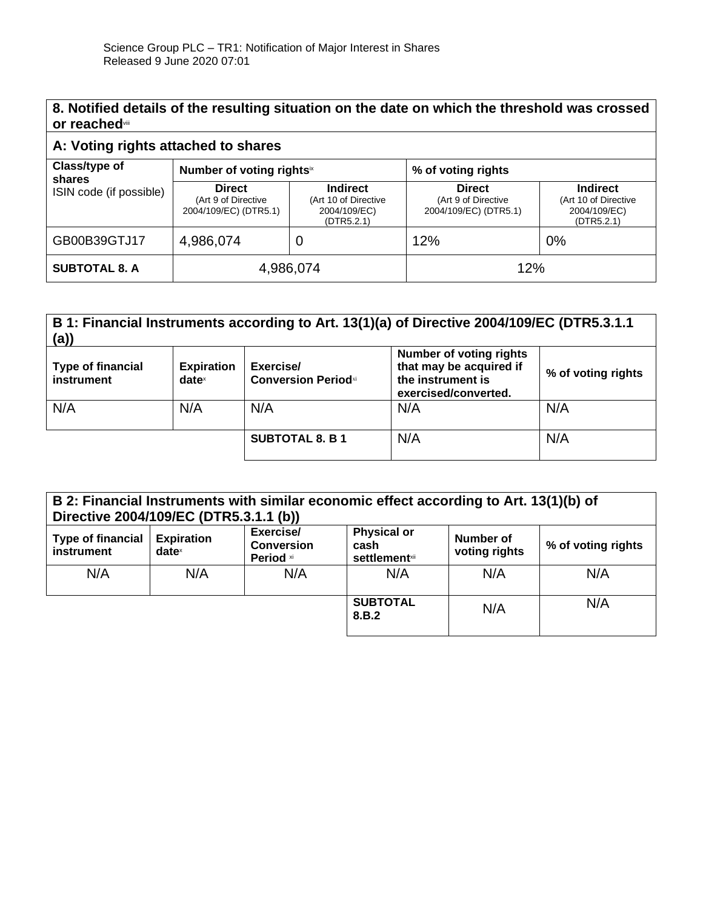## **8. Notified details of the resulting situation on the date on which the threshold was crossed or reached**viii

## **A: Voting rights attached to shares**

| Class/type of<br>shares<br>ISIN code (if possible) | Number of voting rightsix                                     |                                                                       | % of voting rights                                            |                                                                       |
|----------------------------------------------------|---------------------------------------------------------------|-----------------------------------------------------------------------|---------------------------------------------------------------|-----------------------------------------------------------------------|
|                                                    | <b>Direct</b><br>(Art 9 of Directive<br>2004/109/EC) (DTR5.1) | <b>Indirect</b><br>(Art 10 of Directive<br>2004/109/EC)<br>(DTR5.2.1) | <b>Direct</b><br>(Art 9 of Directive<br>2004/109/EC) (DTR5.1) | <b>Indirect</b><br>(Art 10 of Directive<br>2004/109/EC)<br>(DTR5.2.1) |
| GB00B39GTJ17                                       | 4,986,074                                                     |                                                                       | 12%                                                           | 0%                                                                    |
| <b>SUBTOTAL 8. A</b>                               | 4,986,074                                                     |                                                                       | 12%                                                           |                                                                       |

| B 1: Financial Instruments according to Art. 13(1)(a) of Directive 2004/109/EC (DTR5.3.1.1<br>(a) |                                      |                                         |                                                                                                        |                    |
|---------------------------------------------------------------------------------------------------|--------------------------------------|-----------------------------------------|--------------------------------------------------------------------------------------------------------|--------------------|
| <b>Type of financial</b><br>instrument                                                            | <b>Expiration</b><br>$date^{\times}$ | Exercise/<br><b>Conversion Periodxi</b> | <b>Number of voting rights</b><br>that may be acquired if<br>the instrument is<br>exercised/converted. | % of voting rights |
| N/A                                                                                               | N/A                                  | N/A                                     | N/A                                                                                                    | N/A                |
|                                                                                                   |                                      | <b>SUBTOTAL 8. B 1</b>                  | N/A                                                                                                    | N/A                |

| B 2: Financial Instruments with similar economic effect according to Art. 13(1)(b) of<br>Directive 2004/109/EC (DTR5.3.1.1 (b)) |                               |                                             |                                                     |                            |                    |
|---------------------------------------------------------------------------------------------------------------------------------|-------------------------------|---------------------------------------------|-----------------------------------------------------|----------------------------|--------------------|
| <b>Type of financial</b><br>instrument                                                                                          | <b>Expiration</b><br>$date^x$ | Exercise/<br><b>Conversion</b><br>Period xi | <b>Physical or</b><br>cash<br><b>settlement</b> xii | Number of<br>voting rights | % of voting rights |
| N/A                                                                                                                             | N/A                           | N/A                                         | N/A                                                 | N/A                        | N/A                |
|                                                                                                                                 |                               |                                             | <b>SUBTOTAL</b><br>8.B.2                            | N/A                        | N/A                |